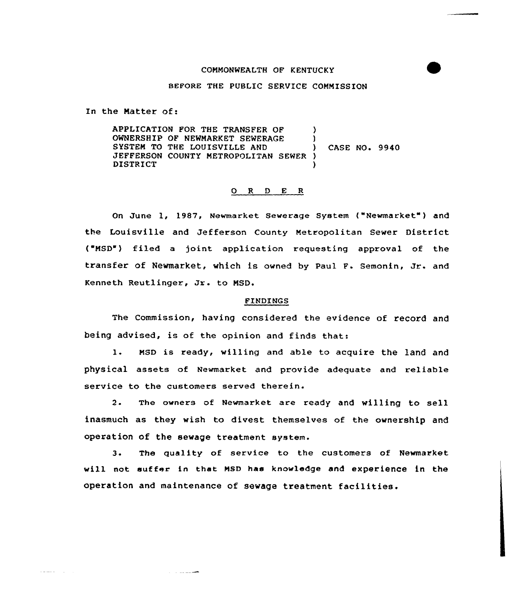## COMMONWEALTH OF KENTUCKY

## BEFORE THE PUBLIC SERVICE COMMISSION

In the Natter of:

 $\omega = 1, \ldots, \omega$  .

APPLICATION FOR THE TRANSFER OF ) OWNERSHIP OF NEWMARKET SEWERAGE )<br>SYSTEM TO THE LOUISVILLE AND SYSTEM TO THE LOUISVILLE AND (ASE NO. 9940) JEFFERSON COUNTY NETROPOLITAN SEWER ) **DISTRICT** 

## 0 <sup>R</sup> <sup>D</sup> <sup>E</sup> <sup>R</sup>

On June 1, 1987, Newmarket Sewerage System ("Newmarket") and the Louisville and Jefferson County Metropolitan Sewer District ("NSD") filed a joint application requesting approval of the transfer of Newmarket, which is owned by Paul F. Semonin, Jr. and Kenneth Reutlinger, Jr. to NSD.

## FINDINGS

The Commission, having considered the evidence of record and heing advised, is of the opinion and finds that:

l. MsD is ready, willing and able to acquire the land and physical assets of Newmarket and provide adequate and reliable service to the customers served therein.

2. The owners of Newmarket are ready and willing to sell inasmuch as they wish to divest themselves of the ownership and operation of the sewage treatment system.

 $3.$ The quality of service to the customers of Newmarket will not suffer in that MSD has knowledge and experience in the operation and maintenance of sewage treatment facilities.

**Service Comment Comment**